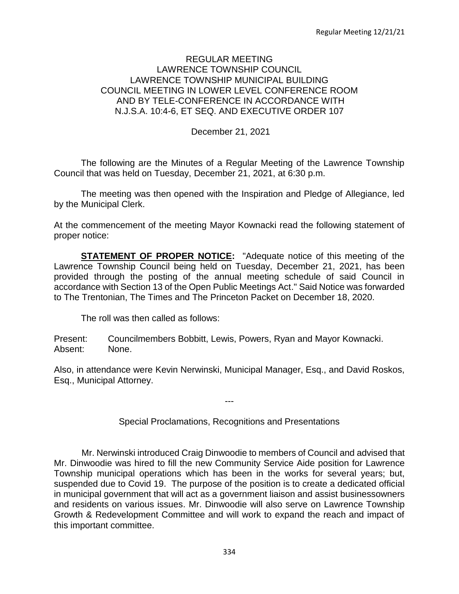### REGULAR MEETING LAWRENCE TOWNSHIP COUNCIL LAWRENCE TOWNSHIP MUNICIPAL BUILDING COUNCIL MEETING IN LOWER LEVEL CONFERENCE ROOM AND BY TELE-CONFERENCE IN ACCORDANCE WITH N.J.S.A. 10:4-6, ET SEQ. AND EXECUTIVE ORDER 107

December 21, 2021

The following are the Minutes of a Regular Meeting of the Lawrence Township Council that was held on Tuesday, December 21, 2021, at 6:30 p.m.

The meeting was then opened with the Inspiration and Pledge of Allegiance, led by the Municipal Clerk.

At the commencement of the meeting Mayor Kownacki read the following statement of proper notice:

**STATEMENT OF PROPER NOTICE:** "Adequate notice of this meeting of the Lawrence Township Council being held on Tuesday, December 21, 2021, has been provided through the posting of the annual meeting schedule of said Council in accordance with Section 13 of the Open Public Meetings Act." Said Notice was forwarded to The Trentonian, The Times and The Princeton Packet on December 18, 2020.

The roll was then called as follows:

Present: Councilmembers Bobbitt, Lewis, Powers, Ryan and Mayor Kownacki. Absent: None.

Also, in attendance were Kevin Nerwinski, Municipal Manager, Esq., and David Roskos, Esq., Municipal Attorney.

Special Proclamations, Recognitions and Presentations

---

 Mr. Nerwinski introduced Craig Dinwoodie to members of Council and advised that Mr. Dinwoodie was hired to fill the new Community Service Aide position for Lawrence Township municipal operations which has been in the works for several years; but, suspended due to Covid 19. The purpose of the position is to create a dedicated official in municipal government that will act as a government liaison and assist businessowners and residents on various issues. Mr. Dinwoodie will also serve on Lawrence Township Growth & Redevelopment Committee and will work to expand the reach and impact of this important committee.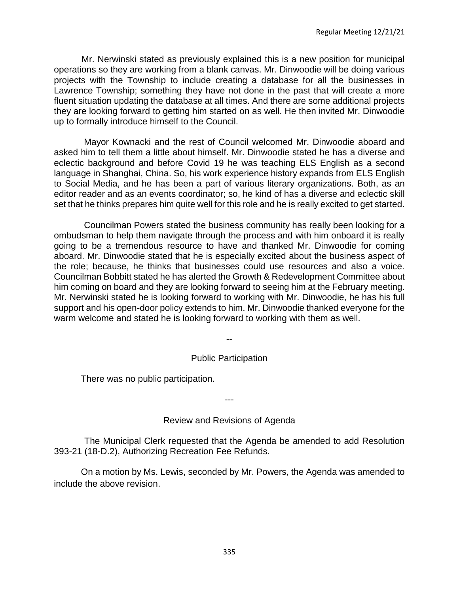Mr. Nerwinski stated as previously explained this is a new position for municipal operations so they are working from a blank canvas. Mr. Dinwoodie will be doing various projects with the Township to include creating a database for all the businesses in Lawrence Township; something they have not done in the past that will create a more fluent situation updating the database at all times. And there are some additional projects they are looking forward to getting him started on as well. He then invited Mr. Dinwoodie up to formally introduce himself to the Council.

 Mayor Kownacki and the rest of Council welcomed Mr. Dinwoodie aboard and asked him to tell them a little about himself. Mr. Dinwoodie stated he has a diverse and eclectic background and before Covid 19 he was teaching ELS English as a second language in Shanghai, China. So, his work experience history expands from ELS English to Social Media, and he has been a part of various literary organizations. Both, as an editor reader and as an events coordinator; so, he kind of has a diverse and eclectic skill set that he thinks prepares him quite well for this role and he is really excited to get started.

 Councilman Powers stated the business community has really been looking for a ombudsman to help them navigate through the process and with him onboard it is really going to be a tremendous resource to have and thanked Mr. Dinwoodie for coming aboard. Mr. Dinwoodie stated that he is especially excited about the business aspect of the role; because, he thinks that businesses could use resources and also a voice. Councilman Bobbitt stated he has alerted the Growth & Redevelopment Committee about him coming on board and they are looking forward to seeing him at the February meeting. Mr. Nerwinski stated he is looking forward to working with Mr. Dinwoodie, he has his full support and his open-door policy extends to him. Mr. Dinwoodie thanked everyone for the warm welcome and stated he is looking forward to working with them as well.

# Public Participation

--

There was no public participation.

# Review and Revisions of Agenda

---

The Municipal Clerk requested that the Agenda be amended to add Resolution 393-21 (18-D.2), Authorizing Recreation Fee Refunds.

On a motion by Ms. Lewis, seconded by Mr. Powers, the Agenda was amended to include the above revision.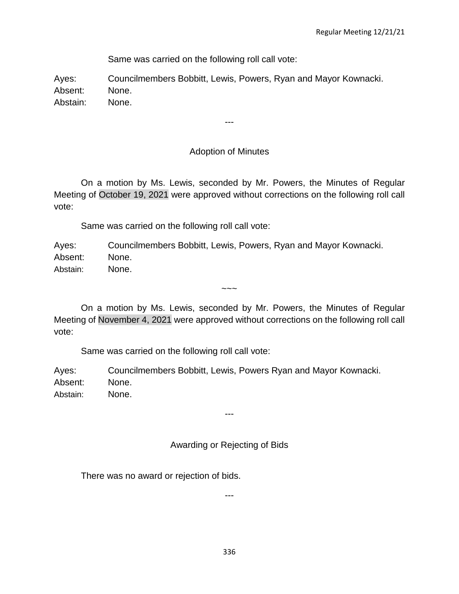Same was carried on the following roll call vote:

Ayes: Councilmembers Bobbitt, Lewis, Powers, Ryan and Mayor Kownacki. Absent: None. Abstain: None.

# Adoption of Minutes

---

On a motion by Ms. Lewis, seconded by Mr. Powers, the Minutes of Regular Meeting of October 19, 2021 were approved without corrections on the following roll call vote:

Same was carried on the following roll call vote:

Ayes: Councilmembers Bobbitt, Lewis, Powers, Ryan and Mayor Kownacki. Absent: None. Abstain: None.

On a motion by Ms. Lewis, seconded by Mr. Powers, the Minutes of Regular Meeting of November 4, 2021 were approved without corrections on the following roll call vote:

 $\sim\sim\sim$ 

Same was carried on the following roll call vote:

Ayes: Councilmembers Bobbitt, Lewis, Powers Ryan and Mayor Kownacki. Absent: None. Abstain: None.

# Awarding or Rejecting of Bids

---

There was no award or rejection of bids.

---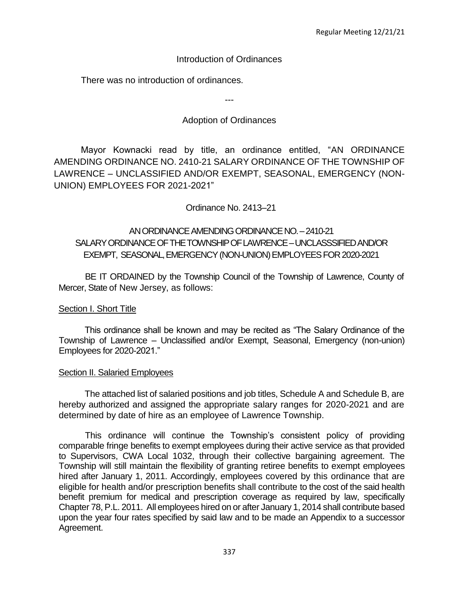### Introduction of Ordinances

There was no introduction of ordinances.

---

# Adoption of Ordinances

Mayor Kownacki read by title, an ordinance entitled, "AN ORDINANCE AMENDING ORDINANCE NO. 2410-21 SALARY ORDINANCE OF THE TOWNSHIP OF LAWRENCE – UNCLASSIFIED AND/OR EXEMPT, SEASONAL, EMERGENCY (NON-UNION) EMPLOYEES FOR 2021-2021"

Ordinance No. 2413–21

# AN ORDINANCE AMENDING ORDINANCE NO. –2410-21 SALARY ORDINANCE OF THE TOWNSHIP OF LAWRENCE –UNCLASSSIFIEDAND/OR EXEMPT, SEASONAL,EMERGENCY (NON-UNION) EMPLOYEES FOR 2020-2021

BE IT ORDAINED by the Township Council of the Township of Lawrence, County of Mercer, State of New Jersey, as follows:

### **Section I. Short Title**

This ordinance shall be known and may be recited as "The Salary Ordinance of the Township of Lawrence – Unclassified and/or Exempt, Seasonal, Emergency (non-union) Employees for 2020-2021."

### Section II. Salaried Employees

The attached list of salaried positions and job titles, Schedule A and Schedule B, are hereby authorized and assigned the appropriate salary ranges for 2020-2021 and are determined by date of hire as an employee of Lawrence Township.

This ordinance will continue the Township's consistent policy of providing comparable fringe benefits to exempt employees during their active service as that provided to Supervisors, CWA Local 1032, through their collective bargaining agreement. The Township will still maintain the flexibility of granting retiree benefits to exempt employees hired after January 1, 2011. Accordingly, employees covered by this ordinance that are eligible for health and/or prescription benefits shall contribute to the cost of the said health benefit premium for medical and prescription coverage as required by law, specifically Chapter 78, P.L. 2011. All employees hired on or after January 1, 2014 shall contribute based upon the year four rates specified by said law and to be made an Appendix to a successor Agreement.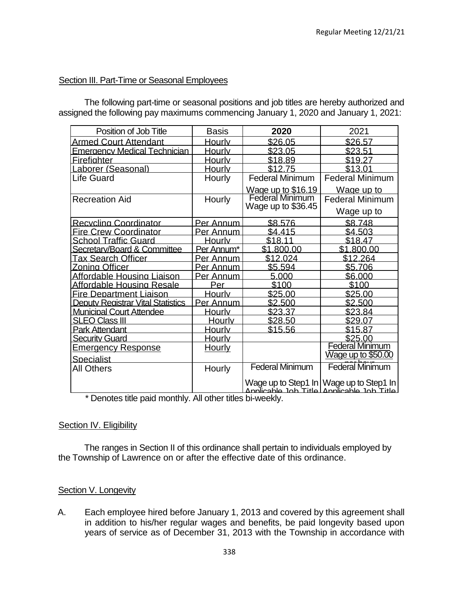### Section III. Part-Time or Seasonal Employees

The following part-time or seasonal positions and job titles are hereby authorized and assigned the following pay maximums commencing January 1, 2020 and January 1, 2021:

| Position of Job Title                    | <b>Basis</b>                                     | 2020                   | 2021                                                                                 |  |
|------------------------------------------|--------------------------------------------------|------------------------|--------------------------------------------------------------------------------------|--|
| <b>Armed Court Attendant</b>             | Hourly                                           | \$26.05                | \$26.57                                                                              |  |
| <b>Emergency Medical Technician</b>      | Hourly                                           | \$23.05                | \$23.51                                                                              |  |
| <b>Firefighter</b>                       | Hourly                                           | \$18.89                | \$19.27                                                                              |  |
| Laborer (Seasonal)                       | Hourlv                                           | \$12.75                | \$13.01                                                                              |  |
| Life Guard                               | Hourly                                           | <b>Federal Minimum</b> | <b>Federal Minimum</b>                                                               |  |
|                                          |                                                  | Wage up to \$16.19     | Wage up to                                                                           |  |
| <b>Recreation Aid</b>                    | Hourly                                           | <b>Federal Minimum</b> | <b>Federal Minimum</b>                                                               |  |
|                                          |                                                  | Wage up to \$36.45     | Wage up to                                                                           |  |
| <b>Recycling Coordinator</b>             | Per Annum                                        | \$8.576                | \$8.748                                                                              |  |
| <b>Fire Crew Coordinator</b>             | Per Annum                                        | \$4.415                | \$4.503                                                                              |  |
| <b>School Traffic Guard</b>              | Hourly                                           | \$18.11                | \$18.47                                                                              |  |
| Secretary/Board & Committee              | Per Annum*                                       | \$1.800.00             | \$1.800.00                                                                           |  |
| <b>Tax Search Officer</b>                | Per_Annum                                        | \$12.024               | \$12.264                                                                             |  |
| <b>Zoning Officer</b>                    | Per Annum                                        | \$5.594                | \$5.706                                                                              |  |
| Affordable Housing Liaison               | Per Annum                                        | 5.000                  | \$6.000                                                                              |  |
| Affordable Housing Resale                | Per                                              | \$100                  | \$100                                                                                |  |
| <b>Fire Department Liaison</b>           | Hourlv                                           | \$25.00                | \$25.00                                                                              |  |
| <b>Deputy Registrar Vital Statistics</b> | Per Annum                                        | \$2.500                | \$2.500                                                                              |  |
| <b>Municipal Court Attendee</b>          | Hourlv                                           | \$23.37                | \$23.84                                                                              |  |
| <b>SLEO Class III</b>                    | Hourlv                                           | \$28.50                | \$29.07                                                                              |  |
| <b>Park Attendant</b>                    | Hourly                                           | \$15.56                | \$15.87                                                                              |  |
| <b>Security Guard</b>                    | <b>Hourly</b>                                    |                        | \$25.00                                                                              |  |
| <b>Emergency Response</b>                | <u>Hourly</u>                                    |                        | Federal Minimum                                                                      |  |
| Specialist                               |                                                  |                        | $\overline{\text{Wage}}$ up to \$50.00                                               |  |
| <b>All Others</b>                        | Hourly                                           | <b>Federal Minimum</b> | <b>Federal Minimum</b>                                                               |  |
| <b>START</b><br>. .<br><b>Service</b>    | $\mathbf{A}$ and $\mathbf{A}$<br><b>START OF</b> |                        | Wage up to Step1 In Wage up to Step1 In<br>Applicable Job Title Applicable Job Title |  |

\* Denotes title paid monthly. All other titles bi-weekly.

### Section IV. Eligibility

The ranges in Section II of this ordinance shall pertain to individuals employed by the Township of Lawrence on or after the effective date of this ordinance.

### Section V. Longevity

A. Each employee hired before January 1, 2013 and covered by this agreement shall in addition to his/her regular wages and benefits, be paid longevity based upon years of service as of December 31, 2013 with the Township in accordance with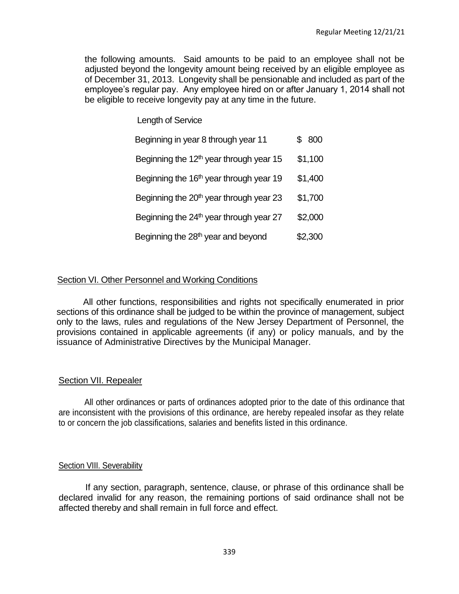the following amounts. Said amounts to be paid to an employee shall not be adjusted beyond the longevity amount being received by an eligible employee as of December 31, 2013. Longevity shall be pensionable and included as part of the employee's regular pay. Any employee hired on or after January 1, 2014 shall not be eligible to receive longevity pay at any time in the future.

Length of Service

| Beginning in year 8 through year 11                 | 800     |
|-----------------------------------------------------|---------|
| Beginning the 12 <sup>th</sup> year through year 15 | \$1,100 |
| Beginning the 16 <sup>th</sup> year through year 19 | \$1,400 |
| Beginning the 20 <sup>th</sup> year through year 23 | \$1,700 |
| Beginning the 24 <sup>th</sup> year through year 27 | \$2,000 |
| Beginning the 28 <sup>th</sup> year and beyond      | \$2,300 |

### Section VI. Other Personnel and Working Conditions

All other functions, responsibilities and rights not specifically enumerated in prior sections of this ordinance shall be judged to be within the province of management, subject only to the laws, rules and regulations of the New Jersey Department of Personnel, the provisions contained in applicable agreements (if any) or policy manuals, and by the issuance of Administrative Directives by the Municipal Manager.

### Section VII. Repealer

All other ordinances or parts of ordinances adopted prior to the date of this ordinance that are inconsistent with the provisions of this ordinance, are hereby repealed insofar as they relate to or concern the job classifications, salaries and benefits listed in this ordinance.

### Section VIII. Severability

If any section, paragraph, sentence, clause, or phrase of this ordinance shall be declared invalid for any reason, the remaining portions of said ordinance shall not be affected thereby and shall remain in full force and effect.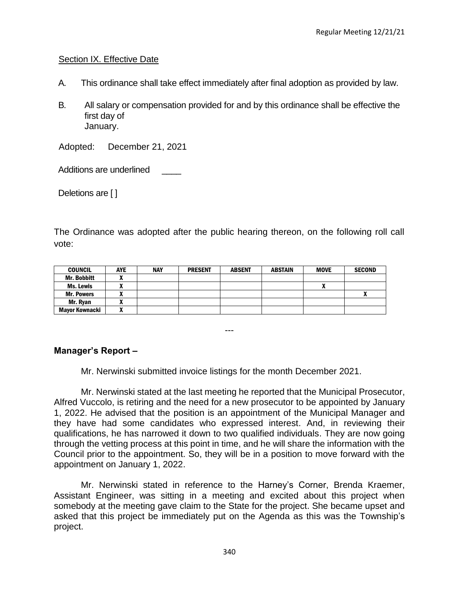### Section IX. Effective Date

- A. This ordinance shall take effect immediately after final adoption as provided by law.
- B. All salary or compensation provided for and by this ordinance shall be effective the first day of January.

Adopted: December 21, 2021

Additions are underlined

Deletions are [ ]

The Ordinance was adopted after the public hearing thereon, on the following roll call vote:

| <b>COUNCIL</b>        | <b>AYE</b> | <b>NAY</b> | <b>PRESENT</b> | <b>ABSENT</b> | <b>ABSTAIN</b> | <b>MOVE</b> | <b>SECOND</b> |
|-----------------------|------------|------------|----------------|---------------|----------------|-------------|---------------|
| Mr. Bobbitt           |            |            |                |               |                |             |               |
| Ms. Lewis             |            |            |                |               |                | n           |               |
| <b>Mr. Powers</b>     |            |            |                |               |                |             |               |
| Mr. Ryan              |            |            |                |               |                |             |               |
| <b>Mayor Kownacki</b> |            |            |                |               |                |             |               |

---

# **Manager's Report –**

Mr. Nerwinski submitted invoice listings for the month December 2021.

Mr. Nerwinski stated at the last meeting he reported that the Municipal Prosecutor, Alfred Vuccolo, is retiring and the need for a new prosecutor to be appointed by January 1, 2022. He advised that the position is an appointment of the Municipal Manager and they have had some candidates who expressed interest. And, in reviewing their qualifications, he has narrowed it down to two qualified individuals. They are now going through the vetting process at this point in time, and he will share the information with the Council prior to the appointment. So, they will be in a position to move forward with the appointment on January 1, 2022.

Mr. Nerwinski stated in reference to the Harney's Corner, Brenda Kraemer, Assistant Engineer, was sitting in a meeting and excited about this project when somebody at the meeting gave claim to the State for the project. She became upset and asked that this project be immediately put on the Agenda as this was the Township's project.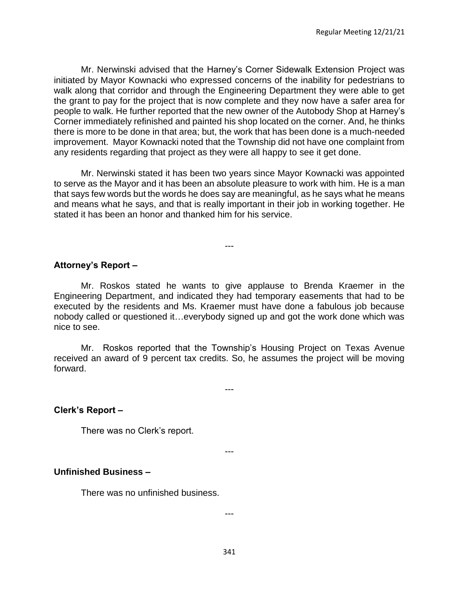Mr. Nerwinski advised that the Harney's Corner Sidewalk Extension Project was initiated by Mayor Kownacki who expressed concerns of the inability for pedestrians to walk along that corridor and through the Engineering Department they were able to get the grant to pay for the project that is now complete and they now have a safer area for people to walk. He further reported that the new owner of the Autobody Shop at Harney's Corner immediately refinished and painted his shop located on the corner. And, he thinks there is more to be done in that area; but, the work that has been done is a much-needed improvement. Mayor Kownacki noted that the Township did not have one complaint from any residents regarding that project as they were all happy to see it get done.

Mr. Nerwinski stated it has been two years since Mayor Kownacki was appointed to serve as the Mayor and it has been an absolute pleasure to work with him. He is a man that says few words but the words he does say are meaningful, as he says what he means and means what he says, and that is really important in their job in working together. He stated it has been an honor and thanked him for his service.

---

#### **Attorney's Report –**

Mr. Roskos stated he wants to give applause to Brenda Kraemer in the Engineering Department, and indicated they had temporary easements that had to be executed by the residents and Ms. Kraemer must have done a fabulous job because nobody called or questioned it…everybody signed up and got the work done which was nice to see.

Mr. Roskos reported that the Township's Housing Project on Texas Avenue received an award of 9 percent tax credits. So, he assumes the project will be moving forward.

---

#### **Clerk's Report –**

There was no Clerk's report.

### **Unfinished Business –**

There was no unfinished business.

---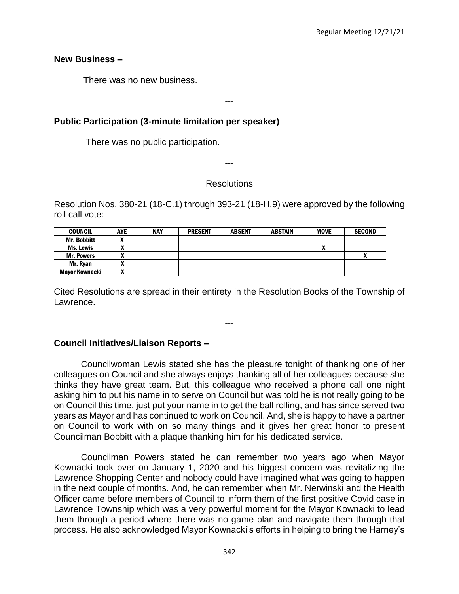#### **New Business –**

There was no new business.

---

## **Public Participation (3-minute limitation per speaker)** –

There was no public participation.

---

### **Resolutions**

Resolution Nos. 380-21 (18-C.1) through 393-21 (18-H.9) were approved by the following roll call vote:

| <b>COUNCIL</b>     | <b>AYE</b> | <b>NAY</b> | <b>PRESENT</b> | <b>ABSENT</b> | ABSTAIN | <b>MOVE</b> | <b>SECOND</b> |
|--------------------|------------|------------|----------------|---------------|---------|-------------|---------------|
| <b>Mr. Bobbitt</b> |            |            |                |               |         |             |               |
| Ms. Lewis          |            |            |                |               |         |             |               |
| <b>Mr. Powers</b>  |            |            |                |               |         |             |               |
| Mr. Ryan           |            |            |                |               |         |             |               |
| Mavor Kownacki     |            |            |                |               |         |             |               |

Cited Resolutions are spread in their entirety in the Resolution Books of the Township of Lawrence.

---

# **Council Initiatives/Liaison Reports –**

Councilwoman Lewis stated she has the pleasure tonight of thanking one of her colleagues on Council and she always enjoys thanking all of her colleagues because she thinks they have great team. But, this colleague who received a phone call one night asking him to put his name in to serve on Council but was told he is not really going to be on Council this time, just put your name in to get the ball rolling, and has since served two years as Mayor and has continued to work on Council. And, she is happy to have a partner on Council to work with on so many things and it gives her great honor to present Councilman Bobbitt with a plaque thanking him for his dedicated service.

Councilman Powers stated he can remember two years ago when Mayor Kownacki took over on January 1, 2020 and his biggest concern was revitalizing the Lawrence Shopping Center and nobody could have imagined what was going to happen in the next couple of months. And, he can remember when Mr. Nerwinski and the Health Officer came before members of Council to inform them of the first positive Covid case in Lawrence Township which was a very powerful moment for the Mayor Kownacki to lead them through a period where there was no game plan and navigate them through that process. He also acknowledged Mayor Kownacki's efforts in helping to bring the Harney's